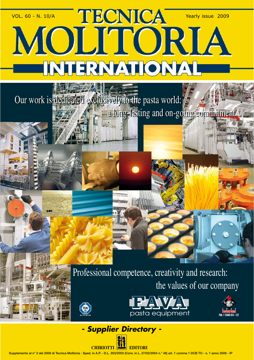## VOL. 60 - N. 10/A Yearly issue 2009 MOLITORIA **INTERNATIONAL**

Our work is dedicated exclusively to the pasta world: **a long-lasting and on-going commitment** 

> Professional competence, creativity and research: the values of our company







## *- Supplier Directory -*



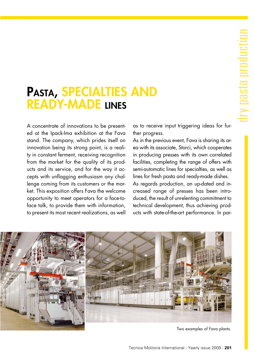## **PASTA, SPECIALTIES AND READY-MADE LINES**

A concentrate of innovations to be presented at the Ipack-Ima exhibition at the Fava stand. The company, which prides itself on innovation being its strong point, is a reality in constant ferment, receiving recognition from the market for the quality of its products and its service, and for the way it accepts with unflagging enthusiasm any challenge coming from its customers or the market. This exposition offers Fava the welcome opportunity to meet operators for a face-toface talk, to provide them with information, to present its most recent realizations, as well as to receive input triggering ideas for further progress.

As in the previous event, Fava is sharing its area with its associate, Storci, which cooperates in producing presses with its own correlated facilities, completing the range of offers with semi-automatic lines for specialties, as well as lines for fresh pasta and ready-made dishes.

As regards production, an up-dated and increased range of presses has been introduced, the result of unrelenting commitment to technical development, thus achieving products with state-of-the-art performance. In par-



Two examples of Fava plants.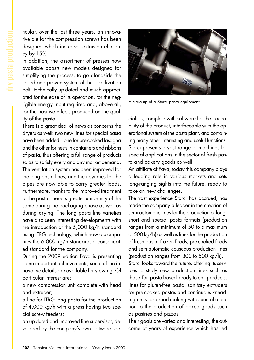ticular, over the last three years, an innovative die for the compression screws has been designed which increases extrusion efficiency by 15%.

In addition, the assortment of presses now available boasts new models designed for simplifying the process, to go alongside the tested and proven system of the stabilization belt, technically up-dated and much appreciated for the ease of its operation, for the negligible energy input required and, above all, for the positive effects produced on the quality of the pasta.

There is a great deal of news as concerns the dryers as well: two new lines for special pasta have been added – one for pre-cooked lasagna and the other for nests in containers and ribbons of pasta, thus offering a full range of products so as to satisfy every and any market demand. The ventilation system has been improved for the long pasta lines, and the new dies for the pipes are now able to carry greater loads. Furthermore, thanks to the improved treatment of the pasta, there is greater uniformity of the same during the packaging phase as well as during drying. The long pasta line varieties have also seen interesting developments with the introduction of the 5,000 kg/h standard using ITRG technology, which now accompanies the 6,000 kg/h standard, a consolidated standard for the company.

During the 2009 edition Fava is presenting some important achievements, some of the innovative details are available for viewing. Of particular interest are:

a new compression unit complete with head and extruder;

a line for ITRG long pasta for the production of 4,000 kg/h with a press having two special screw feeders;

an up-dated and improved line supervisor, developed by the company's own software spe-



A close-up of a Storci pasta equipment.

cialists, complete with software for the traceability of the product, interfaceable with the operational system of the pasta plant, and containing many other interesting and useful functions. Storci presents a vast range of machines for special applications in the sector of fresh pasta and bakery goods as well.

An affiliate of Fava, today this company plays a leading role in various markets and sets long-ranging sights into the future, ready to take on new challenges.

The vast experience Storci has accrued, has made the company a leader in the creation of semi-automatic lines for the production of long, short and special pasta formats (production ranges from a minimum of 50 to a maximum of 500 kg/h) as well as lines for the production of fresh pasta, frozen foods, pre-cooked foods and semiautomatic couscous production lines (production ranges from 300 to 500 kg/h). Storci looks toward the future, offering its services to study new production lines such as those for pasta-based ready-to-eat products, lines for gluten-free pasta, sanitary extruders for pre-cooked pastas and continuous kneading units for bread-making with special attention to the production of baked goods such as pastries and pizzas.

Their goals are varied and interesting, the outcome of years of experience which has led